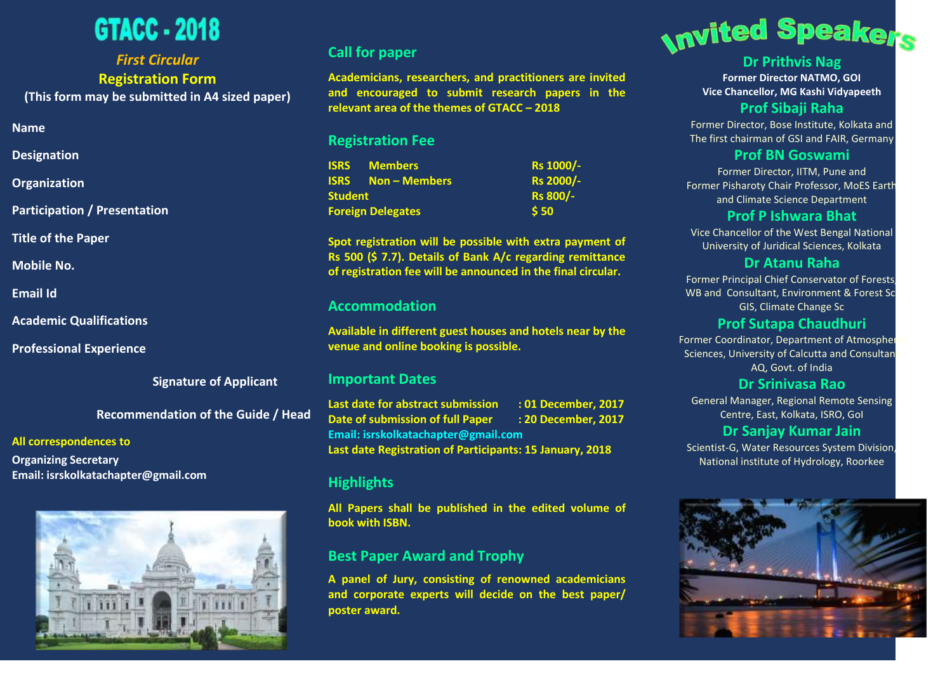# GTACC - 2018

# *First Circular* **Registration Form**

**(This form may be submitted in A4 sized paper)**

- **Name**
- **Designation**
- **Organization**
- **Participation / Presentation**
- **Title of the Paper**
- **Mobile No.**
- **Email Id**
- **Academic Qualifications**
- **Professional Experience**
	- **Signature of Applicant**

 **Recommendation of the Guide / Head**

#### **All correspondences to**

**Organizing Secretary Email: isrskolkatachapter@gmail.com**



### **Call for paper**

**Academicians, researchers, and practitioners are invited and encouraged to submit research papers in the relevant area of the themes of GTACC – 2018**

### **Registration Fee**

|                          | <b>ISRS</b> Members     | Rs 1000/-        |
|--------------------------|-------------------------|------------------|
|                          | <b>ISRS</b> Non-Members | Rs 2000/-        |
| Student                  |                         | <b>Rs 800/-</b>  |
| <b>Foreign Delegates</b> |                         | $\frac{1}{5}$ 50 |

**Spot registration will be possible with extra payment of Rs 500 (\$ 7.7). Details of Bank A/c regarding remittance of registration fee will be announced in the final circular.**

#### **Accommodation**

**Available in different guest houses and hotels near by the venue and online booking is possible.** 

#### **Important Dates**

**Last date for abstract submission : 01 December, 2017 Date of submission of full Paper : 20 December, 2017 Email: isrskolkatachapter@gmail.com Last date Registration of Participants: 15 January, 2018**

### **Highlights**

**All Papers shall be published in the edited volume of book with ISBN.** 

## **Best Paper Award and Trophy**

**A panel of Jury, consisting of renowned academicians and corporate experts will decide on the best paper/ poster award.**



# **Dr Prithvis Nag**

**Former Director NATMO, GOI Vice Chancellor, MG Kashi Vidyapeeth**

## **Prof Sibaji Raha**

Former Director, Bose Institute, Kolkata and The first chairman of GSI and FAIR, Germany

#### **Prof BN Goswami**

Former Director, IITM, Pune and Former Pisharoty Chair Professor, MoES Earth and Climate Science Department

#### **Prof P Ishwara Bhat**

Vice Chancellor of the West Bengal National University of Juridical Sciences, Kolkata

#### **Dr Atanu Raha**

Former Principal Chief Conservator of Forests, WB and Consultant, Environment & Forest Sc GIS, Climate Change Sc

#### **Prof Sutapa Chaudhuri**

Former Coordinator, Department of Atmospher Sciences, University of Calcutta and Consultant AQ, Govt. of India

#### **Dr Srinivasa Rao**

General Manager, Regional Remote Sensing Centre, East, Kolkata, ISRO, GoI

### **Dr Sanjay Kumar Jain**

Scientist-G, Water Resources System Division, National institute of Hydrology, Roorkee